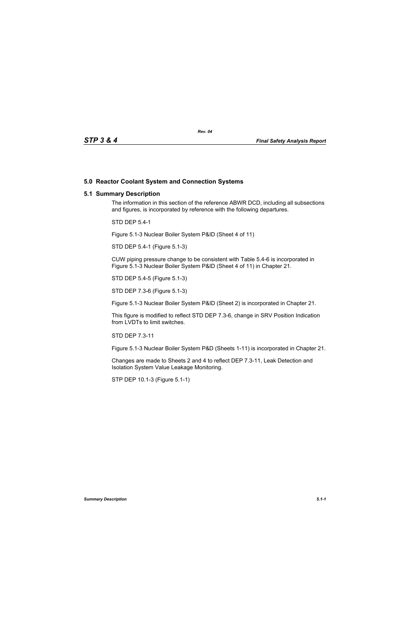## **5.0 Reactor Coolant System and Connection Systems**

## **5.1 Summary Description**

The information in this section of the reference ABWR DCD, including all subsections and figures, is incorporated by reference with the following departures.

STD DEP 5.4-1

Figure 5.1-3 Nuclear Boiler System P&ID (Sheet 4 of 11)

STD DEP 5.4-1 (Figure 5.1-3)

CUW piping pressure change to be consistent with Table 5.4-6 is incorporated in Figure 5.1-3 Nuclear Boiler System P&ID (Sheet 4 of 11) in Chapter 21.

STD DEP 5.4-5 (Figure 5.1-3)

STD DEP 7.3-6 (Figure 5.1-3)

Figure 5.1-3 Nuclear Boiler System P&ID (Sheet 2) is incorporated in Chapter 21.

This figure is modified to reflect STD DEP 7.3-6, change in SRV Position Indication from LVDTs to limit switches.

STD DEP 7.3-11

Figure 5.1-3 Nuclear Boiler System P&D (Sheets 1-11) is incorporated in Chapter 21.

Changes are made to Sheets 2 and 4 to reflect DEP 7.3-11, Leak Detection and Isolation System Value Leakage Monitoring.

STP DEP 10.1-3 (Figure 5.1-1)